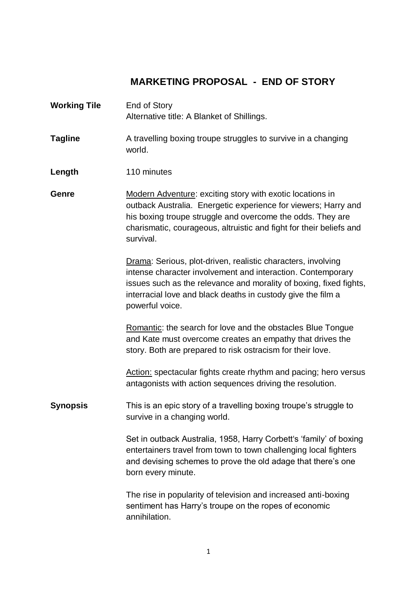## **MARKETING PROPOSAL - END OF STORY**

| <b>Working Tile</b> | End of Story<br>Alternative title: A Blanket of Shillings.                                                                                                                                                                                                                           |
|---------------------|--------------------------------------------------------------------------------------------------------------------------------------------------------------------------------------------------------------------------------------------------------------------------------------|
| <b>Tagline</b>      | A travelling boxing troupe struggles to survive in a changing<br>world.                                                                                                                                                                                                              |
| Length              | 110 minutes                                                                                                                                                                                                                                                                          |
| Genre               | Modern Adventure: exciting story with exotic locations in<br>outback Australia. Energetic experience for viewers; Harry and<br>his boxing troupe struggle and overcome the odds. They are<br>charismatic, courageous, altruistic and fight for their beliefs and<br>survival.        |
|                     | Drama: Serious, plot-driven, realistic characters, involving<br>intense character involvement and interaction. Contemporary<br>issues such as the relevance and morality of boxing, fixed fights,<br>interracial love and black deaths in custody give the film a<br>powerful voice. |
|                     | Romantic: the search for love and the obstacles Blue Tongue<br>and Kate must overcome creates an empathy that drives the<br>story. Both are prepared to risk ostracism for their love.                                                                                               |
|                     | Action: spectacular fights create rhythm and pacing; hero versus<br>antagonists with action sequences driving the resolution.                                                                                                                                                        |
| <b>Synopsis</b>     | This is an epic story of a travelling boxing troupe's struggle to<br>survive in a changing world.                                                                                                                                                                                    |
|                     | Set in outback Australia, 1958, Harry Corbett's 'family' of boxing<br>entertainers travel from town to town challenging local fighters<br>and devising schemes to prove the old adage that there's one<br>born every minute.                                                         |
|                     | The rise in popularity of television and increased anti-boxing<br>sentiment has Harry's troupe on the ropes of economic<br>annihilation.                                                                                                                                             |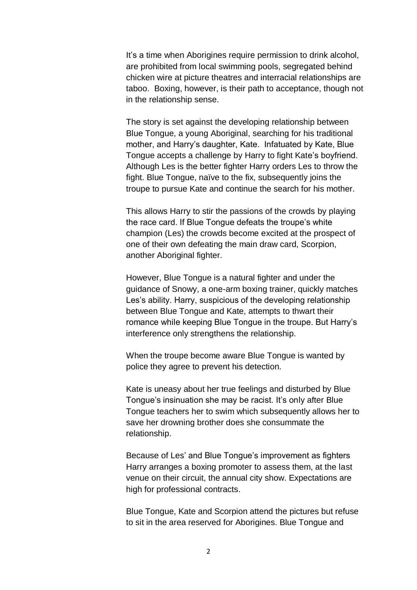It's a time when Aborigines require permission to drink alcohol, are prohibited from local swimming pools, segregated behind chicken wire at picture theatres and interracial relationships are taboo. Boxing, however, is their path to acceptance, though not in the relationship sense.

The story is set against the developing relationship between Blue Tongue, a young Aboriginal, searching for his traditional mother, and Harry's daughter, Kate. Infatuated by Kate, Blue Tongue accepts a challenge by Harry to fight Kate's boyfriend. Although Les is the better fighter Harry orders Les to throw the fight. Blue Tongue, naïve to the fix, subsequently joins the troupe to pursue Kate and continue the search for his mother.

This allows Harry to stir the passions of the crowds by playing the race card. If Blue Tongue defeats the troupe's white champion (Les) the crowds become excited at the prospect of one of their own defeating the main draw card, Scorpion, another Aboriginal fighter.

However, Blue Tongue is a natural fighter and under the guidance of Snowy, a one-arm boxing trainer, quickly matches Les's ability. Harry, suspicious of the developing relationship between Blue Tongue and Kate, attempts to thwart their romance while keeping Blue Tongue in the troupe. But Harry's interference only strengthens the relationship.

When the troupe become aware Blue Tongue is wanted by police they agree to prevent his detection.

Kate is uneasy about her true feelings and disturbed by Blue Tongue's insinuation she may be racist. It's only after Blue Tongue teachers her to swim which subsequently allows her to save her drowning brother does she consummate the relationship.

Because of Les' and Blue Tongue's improvement as fighters Harry arranges a boxing promoter to assess them, at the last venue on their circuit, the annual city show. Expectations are high for professional contracts.

Blue Tongue, Kate and Scorpion attend the pictures but refuse to sit in the area reserved for Aborigines. Blue Tongue and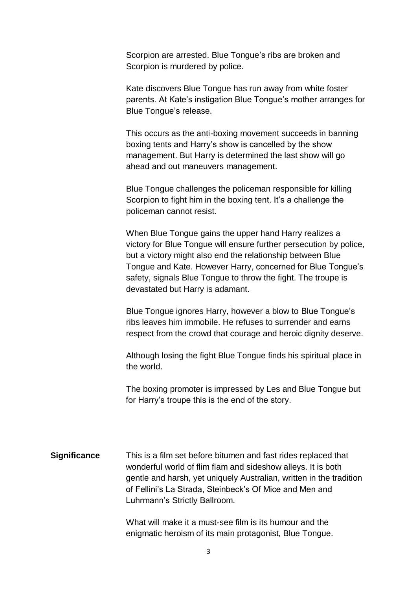Scorpion are arrested. Blue Tongue's ribs are broken and Scorpion is murdered by police.

Kate discovers Blue Tongue has run away from white foster parents. At Kate's instigation Blue Tongue's mother arranges for Blue Tongue's release.

This occurs as the anti-boxing movement succeeds in banning boxing tents and Harry's show is cancelled by the show management. But Harry is determined the last show will go ahead and out maneuvers management.

Blue Tongue challenges the policeman responsible for killing Scorpion to fight him in the boxing tent. It's a challenge the policeman cannot resist.

When Blue Tongue gains the upper hand Harry realizes a victory for Blue Tongue will ensure further persecution by police, but a victory might also end the relationship between Blue Tongue and Kate. However Harry, concerned for Blue Tongue's safety, signals Blue Tongue to throw the fight. The troupe is devastated but Harry is adamant.

Blue Tongue ignores Harry, however a blow to Blue Tongue's ribs leaves him immobile. He refuses to surrender and earns respect from the crowd that courage and heroic dignity deserve.

Although losing the fight Blue Tongue finds his spiritual place in the world.

The boxing promoter is impressed by Les and Blue Tongue but for Harry's troupe this is the end of the story.

**Significance** This is a film set before bitumen and fast rides replaced that wonderful world of flim flam and sideshow alleys. It is both gentle and harsh, yet uniquely Australian, written in the tradition of Fellini's La Strada, Steinbeck's Of Mice and Men and Luhrmann's Strictly Ballroom.

> What will make it a must-see film is its humour and the enigmatic heroism of its main protagonist, Blue Tongue.